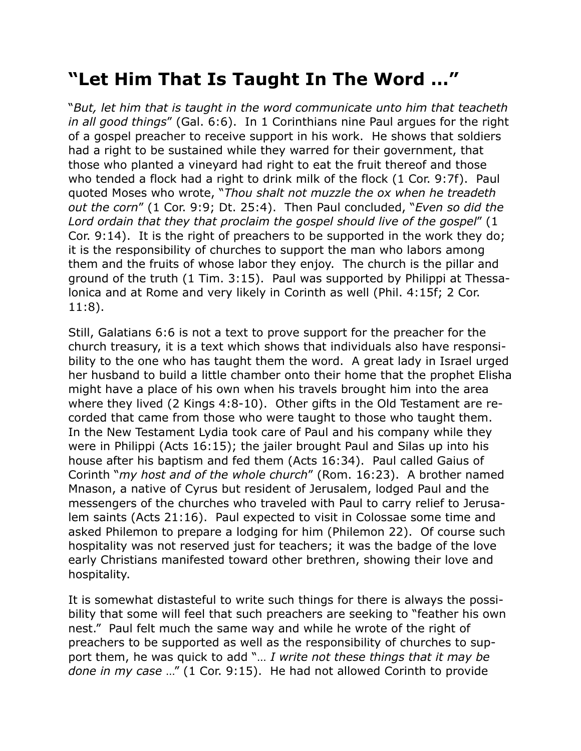## **"Let Him That Is Taught In The Word …"**

"*But, let him that is taught in the word communicate unto him that teacheth in all good things*" (Gal. 6:6). In 1 Corinthians nine Paul argues for the right of a gospel preacher to receive support in his work. He shows that soldiers had a right to be sustained while they warred for their government, that those who planted a vineyard had right to eat the fruit thereof and those who tended a flock had a right to drink milk of the flock (1 Cor. 9:7f). Paul quoted Moses who wrote, "*Thou shalt not muzzle the ox when he treadeth out the corn*" (1 Cor. 9:9; Dt. 25:4). Then Paul concluded, "*Even so did the Lord ordain that they that proclaim the gospel should live of the gospel*" (1 Cor. 9:14). It is the right of preachers to be supported in the work they do; it is the responsibility of churches to support the man who labors among them and the fruits of whose labor they enjoy. The church is the pillar and ground of the truth (1 Tim. 3:15). Paul was supported by Philippi at Thessalonica and at Rome and very likely in Corinth as well (Phil. 4:15f; 2 Cor. 11:8).

Still, Galatians 6:6 is not a text to prove support for the preacher for the church treasury, it is a text which shows that individuals also have responsibility to the one who has taught them the word. A great lady in Israel urged her husband to build a little chamber onto their home that the prophet Elisha might have a place of his own when his travels brought him into the area where they lived (2 Kings 4:8-10). Other gifts in the Old Testament are recorded that came from those who were taught to those who taught them. In the New Testament Lydia took care of Paul and his company while they were in Philippi (Acts 16:15); the jailer brought Paul and Silas up into his house after his baptism and fed them (Acts 16:34). Paul called Gaius of Corinth "*my host and of the whole church*" (Rom. 16:23). A brother named Mnason, a native of Cyrus but resident of Jerusalem, lodged Paul and the messengers of the churches who traveled with Paul to carry relief to Jerusalem saints (Acts 21:16). Paul expected to visit in Colossae some time and asked Philemon to prepare a lodging for him (Philemon 22). Of course such hospitality was not reserved just for teachers; it was the badge of the love early Christians manifested toward other brethren, showing their love and hospitality.

It is somewhat distasteful to write such things for there is always the possibility that some will feel that such preachers are seeking to "feather his own nest." Paul felt much the same way and while he wrote of the right of preachers to be supported as well as the responsibility of churches to support them, he was quick to add "… *I write not these things that it may be done in my case* …" (1 Cor. 9:15). He had not allowed Corinth to provide